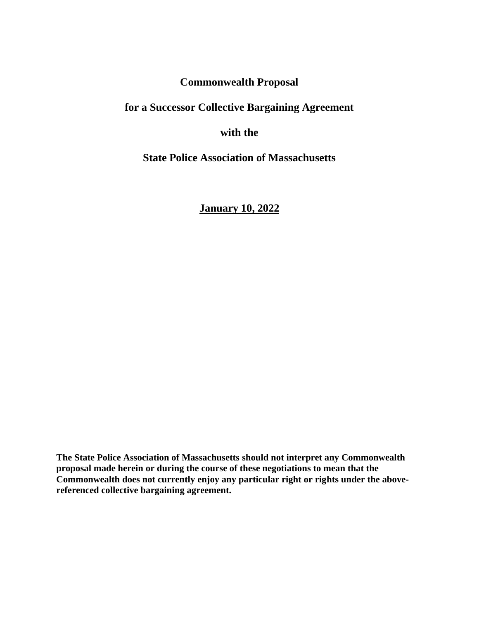**Commonwealth Proposal** 

**for a Successor Collective Bargaining Agreement**

**with the** 

**State Police Association of Massachusetts**

**January 10, 2022**

**The State Police Association of Massachusetts should not interpret any Commonwealth proposal made herein or during the course of these negotiations to mean that the Commonwealth does not currently enjoy any particular right or rights under the abovereferenced collective bargaining agreement.**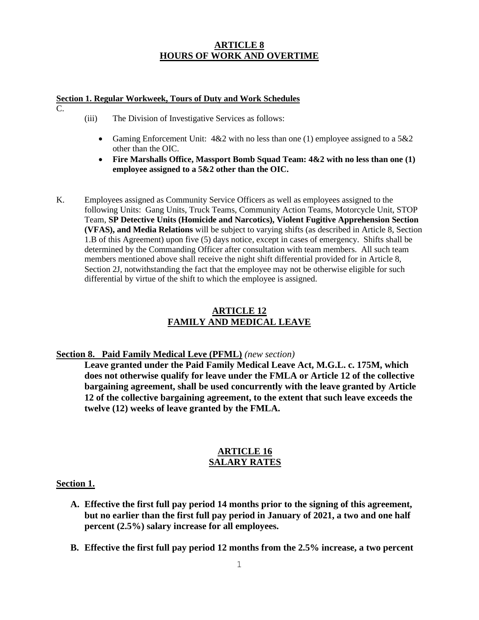# **ARTICLE 8 HOURS OF WORK AND OVERTIME**

#### **Section 1. Regular Workweek, Tours of Duty and Work Schedules**

C.

- (iii) The Division of Investigative Services as follows:
	- Gaming Enforcement Unit:  $4&2$  with no less than one (1) employee assigned to a  $5&2$ other than the OIC.
	- **Fire Marshalls Office, Massport Bomb Squad Team: 4&2 with no less than one (1) employee assigned to a 5&2 other than the OIC.**
- K. Employees assigned as Community Service Officers as well as employees assigned to the following Units: Gang Units, Truck Teams, Community Action Teams, Motorcycle Unit, STOP Team, **SP Detective Units (Homicide and Narcotics), Violent Fugitive Apprehension Section (VFAS), and Media Relations** will be subject to varying shifts (as described in Article 8, Section 1.B of this Agreement) upon five (5) days notice, except in cases of emergency. Shifts shall be determined by the Commanding Officer after consultation with team members. All such team members mentioned above shall receive the night shift differential provided for in Article 8, Section 2J, notwithstanding the fact that the employee may not be otherwise eligible for such differential by virtue of the shift to which the employee is assigned.

# **ARTICLE 12 FAMILY AND MEDICAL LEAVE**

## **Section 8. Paid Family Medical Leve (PFML)** *(new section)*

**Leave granted under the Paid Family Medical Leave Act, M.G.L. c. 175M, which does not otherwise qualify for leave under the FMLA or Article 12 of the collective bargaining agreement, shall be used concurrently with the leave granted by Article 12 of the collective bargaining agreement, to the extent that such leave exceeds the twelve (12) weeks of leave granted by the FMLA.** 

#### **ARTICLE 16 SALARY RATES**

## **Section 1.**

- **A. Effective the first full pay period 14 months prior to the signing of this agreement, but no earlier than the first full pay period in January of 2021, a two and one half percent (2.5%) salary increase for all employees.**
- **B. Effective the first full pay period 12 months from the 2.5% increase, a two percent**